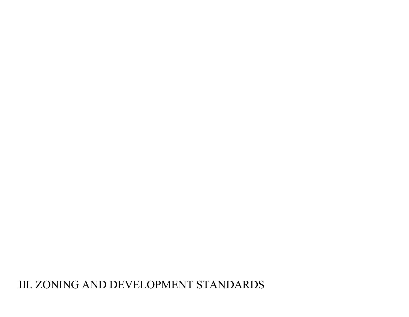# III. ZONING AND DEVELOPMENT STANDARDS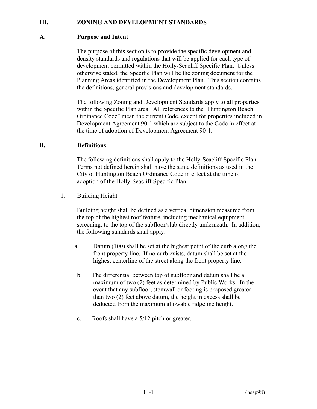# **III. ZONING AND DEVELOPMENT STANDARDS**

## **A. Purpose and Intent**

The purpose of this section is to provide the specific development and density standards and regulations that will be applied for each type of development permitted within the Holly-Seacliff Specific Plan. Unless otherwise stated, the Specific Plan will be the zoning document for the Planning Areas identified in the Development Plan. This section contains the definitions, general provisions and development standards.

The following Zoning and Development Standards apply to all properties within the Specific Plan area. All references to the "Huntington Beach Ordinance Code" mean the current Code, except for properties included in Development Agreement 90-1 which are subject to the Code in effect at the time of adoption of Development Agreement 90-1.

#### **B. Definitions**

The following definitions shall apply to the Holly-Seacliff Specific Plan. Terms not defined herein shall have the same definitions as used in the City of Huntington Beach Ordinance Code in effect at the time of adoption of the Holly-Seacliff Specific Plan.

1. Building Height

Building height shall be defined as a vertical dimension measured from the top of the highest roof feature, including mechanical equipment screening, to the top of the subfloor/slab directly underneath. In addition, the following standards shall apply:

- a. Datum (100) shall be set at the highest point of the curb along the front property line. If no curb exists, datum shall be set at the highest centerline of the street along the front property line.
- b. The differential between top of subfloor and datum shall be a maximum of two (2) feet as determined by Public Works. In the event that any subfloor, stemwall or footing is proposed greater than two (2) feet above datum, the height in excess shall be deducted from the maximum allowable ridgeline height.
- c. Roofs shall have a 5/12 pitch or greater.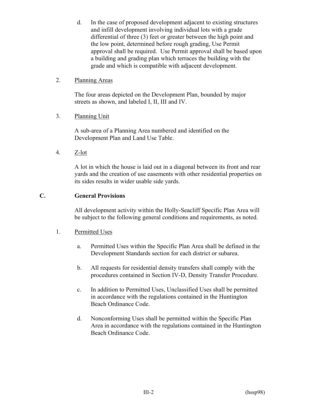d. In the case of proposed development adjacent to existing structures and infill development involving individual lots with a grade differential of three (3) feet or greater between the high point and the low point, determined before rough grading, Use Permit approval shall be required. Use Permit approval shall be based upon a building and grading plan which terraces the building with the grade and which is compatible with adjacent development.

# 2. Planning Areas

The four areas depicted on the Development Plan, bounded by major streets as shown, and labeled I, II, III and IV.

# 3. Planning Unit

A sub-area of a Planning Area numbered and identified on the Development Plan and Land Use Table.

4. Z-lot

A lot in which the house is laid out in a diagonal between its front and rear yards and the creation of use easements with other residential properties on its sides results in wider usable side yards.

# **C. General Provisions**

All development activity within the Holly-Seacliff Specific Plan Area will be subject to the following general conditions and requirements, as noted.

# 1. Permitted Uses

- a. Permitted Uses within the Specific Plan Area shall be defined in the Development Standards section for each district or subarea.
- b. All requests for residential density transfers shall comply with the procedures contained in Section IV-D, Density Transfer Procedure.
- c. In addition to Permitted Uses, Unclassified Uses shall be permitted in accordance with the regulations contained in the Huntington Beach Ordinance Code.
- d. Nonconforming Uses shall be permitted within the Specific Plan Area in accordance with the regulations contained in the Huntington Beach Ordinance Code.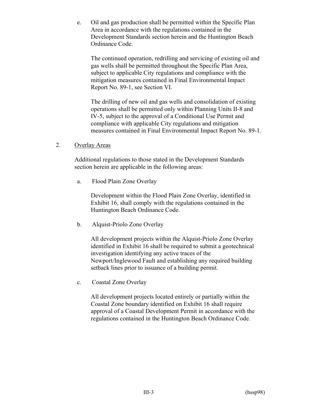e. Oil and gas production shall be permitted within the Specific Plan Area in accordance with the regulations contained in the Development Standards section herein and the Huntington Beach Ordinance Code.

The continued operation, redrilling and servicing of existing oil and gas wells shall be permitted throughout the Specific Plan Area, subject to applicable City regulations and compliance with the mitigation measures contained in Final Environmental Impact Report No. 89-1, see Section VI.

The drilling of new oil and gas wells and consolidation of existing operations shall be permitted only within Planning Units II-8 and IV-5, subject to the approval of a Conditional Use Permit and compliance with applicable City regulations and mitigation measures contained in Final Environmental Impact Report No. 89-1.

2. Overlay Areas

Additional regulations to those stated in the Development Standards section herein are applicable in the following areas:

a. Flood Plain Zone Overlay

Development within the Flood Plain Zone Overlay, identified in Exhibit 16, shall comply with the regulations contained in the Huntington Beach Ordinance Code.

b. Alquist-Priolo Zone Overlay

All development projects within the Alquist-Priolo Zone Overlay identified in Exhibit 16 shall be required to submit a geotechnical investigation identifying any active traces of the Newport/Inglewood Fault and establishing any required building setback lines prior to issuance of a building permit.

c. Coastal Zone Overlay

All development projects located entirely or partially within the Coastal Zone boundary identified on Exhibit 16 shall require approval of a Coastal Development Permit in accordance with the regulations contained in the Huntington Beach Ordinance Code.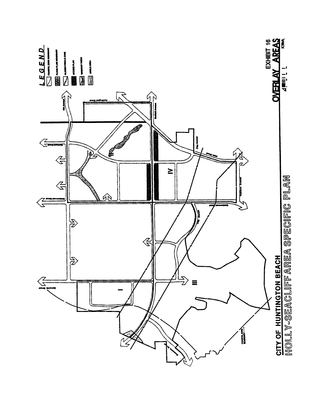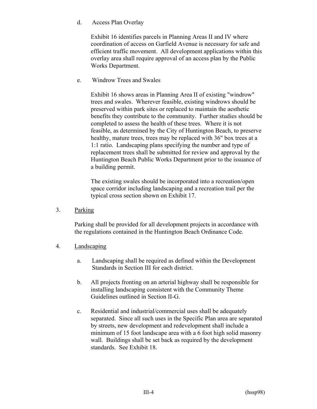d. Access Plan Overlay

Exhibit 16 identifies parcels in Planning Areas II and IV where coordination of access on Garfield Avenue is necessary for safe and efficient traffic movement. All development applications within this overlay area shall require approval of an access plan by the Public Works Department.

e. Windrow Trees and Swales

Exhibit 16 shows areas in Planning Area II of existing "windrow" trees and swales. Wherever feasible, existing windrows should be preserved within park sites or replaced to maintain the aesthetic benefits they contribute to the community. Further studies should be completed to assess the health of these trees. Where it is not feasible, as determined by the City of Huntington Beach, to preserve healthy, mature trees, trees may be replaced with 36" box trees at a 1:1 ratio. Landscaping plans specifying the number and type of replacement trees shall be submitted for review and approval by the Huntington Beach Public Works Department prior to the issuance of a building permit.

The existing swales should be incorporated into a recreation/open space corridor including landscaping and a recreation trail per the typical cross section shown on Exhibit 17.

3. Parking

Parking shall be provided for all development projects in accordance with the regulations contained in the Huntington Beach Ordinance Code.

# 4. Landscaping

- a. Landscaping shall be required as defined within the Development Standards in Section III for each district.
- b. All projects fronting on an arterial highway shall be responsible for installing landscaping consistent with the Community Theme Guidelines outlined in Section II-G.
- c. Residential and industrial/commercial uses shall be adequately separated. Since all such uses in the Specific Plan area are separated by streets, new development and redevelopment shall include a minimum of 15 foot landscape area with a 6 foot high solid masonry wall. Buildings shall be set back as required by the development standards. See Exhibit 18.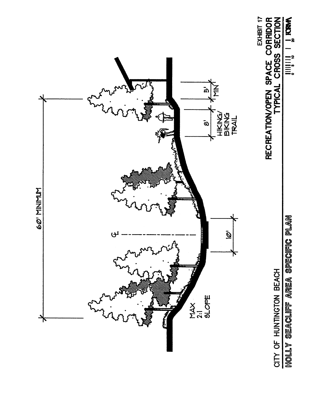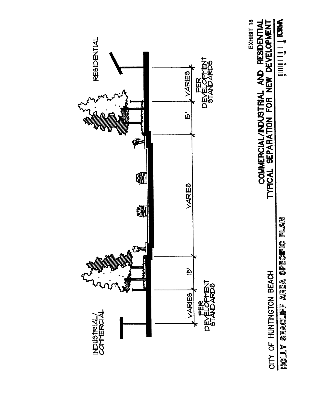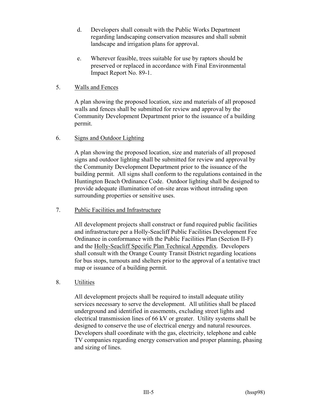- d. Developers shall consult with the Public Works Department regarding landscaping conservation measures and shall submit landscape and irrigation plans for approval.
- e. Wherever feasible, trees suitable for use by raptors should be preserved or replaced in accordance with Final Environmental Impact Report No. 89-1.

# 5. Walls and Fences

A plan showing the proposed location, size and materials of all proposed walls and fences shall be submitted for review and approval by the Community Development Department prior to the issuance of a building permit.

# 6. Signs and Outdoor Lighting

A plan showing the proposed location, size and materials of all proposed signs and outdoor lighting shall be submitted for review and approval by the Community Development Department prior to the issuance of the building permit. All signs shall conform to the regulations contained in the Huntington Beach Ordinance Code. Outdoor lighting shall be designed to provide adequate illumination of on-site areas without intruding upon surrounding properties or sensitive uses.

7. Public Facilities and Infrastructure

All development projects shall construct or fund required public facilities and infrastructure per a Holly-Seacliff Public Facilities Development Fee Ordinance in conformance with the Public Facilities Plan (Section II-F) and the Holly-Seacliff Specific Plan Technical Appendix. Developers shall consult with the Orange County Transit District regarding locations for bus stops, turnouts and shelters prior to the approval of a tentative tract map or issuance of a building permit.

# 8. Utilities

All development projects shall be required to install adequate utility services necessary to serve the development. All utilities shall be placed underground and identified in easements, excluding street lights and electrical transmission lines of 66 kV or greater. Utility systems shall be designed to conserve the use of electrical energy and natural resources. Developers shall coordinate with the gas, electricity, telephone and cable TV companies regarding energy conservation and proper planning, phasing and sizing of lines.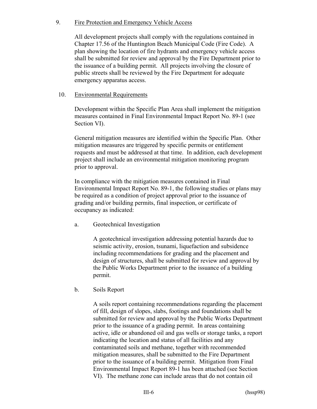# 9. Fire Protection and Emergency Vehicle Access

All development projects shall comply with the regulations contained in Chapter 17.56 of the Huntington Beach Municipal Code (Fire Code). A plan showing the location of fire hydrants and emergency vehicle access shall be submitted for review and approval by the Fire Department prior to the issuance of a building permit. All projects involving the closure of public streets shall be reviewed by the Fire Department for adequate emergency apparatus access.

# 10. Environmental Requirements

Development within the Specific Plan Area shall implement the mitigation measures contained in Final Environmental Impact Report No. 89-1 (see Section VI).

General mitigation measures are identified within the Specific Plan. Other mitigation measures are triggered by specific permits or entitlement requests and must be addressed at that time. In addition, each development project shall include an environmental mitigation monitoring program prior to approval.

In compliance with the mitigation measures contained in Final Environmental Impact Report No. 89-1, the following studies or plans may be required as a condition of project approval prior to the issuance of grading and/or building permits, final inspection, or certificate of occupancy as indicated:

a. Geotechnical Investigation

A geotechnical investigation addressing potential hazards due to seismic activity, erosion, tsunami, liquefaction and subsidence including recommendations for grading and the placement and design of structures, shall be submitted for review and approval by the Public Works Department prior to the issuance of a building permit.

b. Soils Report

A soils report containing recommendations regarding the placement of fill, design of slopes, slabs, footings and foundations shall be submitted for review and approval by the Public Works Department prior to the issuance of a grading permit. In areas containing active, idle or abandoned oil and gas wells or storage tanks, a report indicating the location and status of all facilities and any contaminated soils and methane, together with recommended mitigation measures, shall be submitted to the Fire Department prior to the issuance of a building permit. Mitigation from Final Environmental Impact Report 89-1 has been attached (see Section VI). The methane zone can include areas that do not contain oil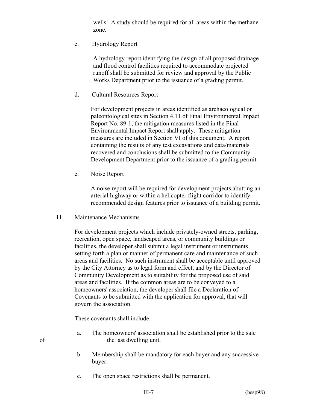wells. A study should be required for all areas within the methane zone.

c. Hydrology Report

A hydrology report identifying the design of all proposed drainage and flood control facilities required to accommodate projected runoff shall be submitted for review and approval by the Public Works Department prior to the issuance of a grading permit.

d. Cultural Resources Report

For development projects in areas identified as archaeological or paleontological sites in Section 4.11 of Final Environmental Impact Report No. 89-1, the mitigation measures listed in the Final Environmental Impact Report shall apply. These mitigation measures are included in Section VI of this document. A report containing the results of any test excavations and data/materials recovered and conclusions shall be submitted to the Community Development Department prior to the issuance of a grading permit.

e. Noise Report

A noise report will be required for development projects abutting an arterial highway or within a helicopter flight corridor to identify recommended design features prior to issuance of a building permit.

#### 11. Maintenance Mechanisms

For development projects which include privately-owned streets, parking, recreation, open space, landscaped areas, or community buildings or facilities, the developer shall submit a legal instrument or instruments setting forth a plan or manner of permanent care and maintenance of such areas and facilities. No such instrument shall be acceptable until approved by the City Attorney as to legal form and effect, and by the Director of Community Development as to suitability for the proposed use of said areas and facilities. If the common areas are to be conveyed to a homeowners' association, the developer shall file a Declaration of Covenants to be submitted with the application for approval, that will govern the association.

These covenants shall include:

- a. The homeowners' association shall be established prior to the sale of the last dwelling unit.
	- b. Membership shall be mandatory for each buyer and any successive buyer.
	- c. The open space restrictions shall be permanent.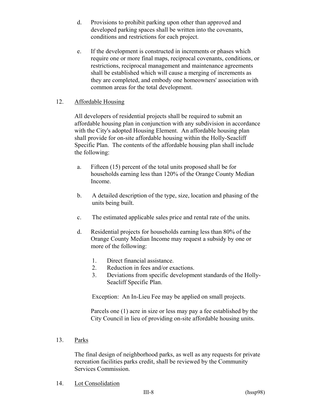- d. Provisions to prohibit parking upon other than approved and developed parking spaces shall be written into the covenants, conditions and restrictions for each project.
- e. If the development is constructed in increments or phases which require one or more final maps, reciprocal covenants, conditions, or restrictions, reciprocal management and maintenance agreements shall be established which will cause a merging of increments as they are completed, and embody one homeowners' association with common areas for the total development.

# 12. Affordable Housing

All developers of residential projects shall be required to submit an affordable housing plan in conjunction with any subdivision in accordance with the City's adopted Housing Element. An affordable housing plan shall provide for on-site affordable housing within the Holly-Seacliff Specific Plan. The contents of the affordable housing plan shall include the following:

- a. Fifteen (15) percent of the total units proposed shall be for households earning less than 120% of the Orange County Median Income.
- b. A detailed description of the type, size, location and phasing of the units being built.
- c. The estimated applicable sales price and rental rate of the units.
- d. Residential projects for households earning less than 80% of the Orange County Median Income may request a subsidy by one or more of the following:
	- 1. Direct financial assistance.
	- 2. Reduction in fees and/or exactions.
	- 3. Deviations from specific development standards of the Holly- Seacliff Specific Plan.

Exception: An In-Lieu Fee may be applied on small projects.

Parcels one (1) acre in size or less may pay a fee established by the City Council in lieu of providing on-site affordable housing units.

13. Parks

The final design of neighborhood parks, as well as any requests for private recreation facilities parks credit, shall be reviewed by the Community Services Commission.

14. Lot Consolidation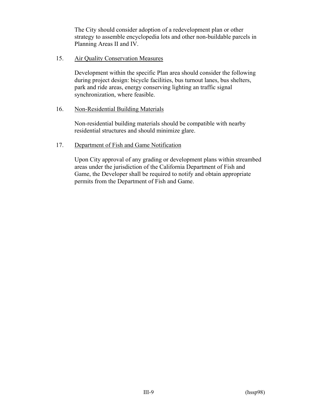The City should consider adoption of a redevelopment plan or other strategy to assemble encyclopedia lots and other non-buildable parcels in Planning Areas II and IV.

#### 15. Air Quality Conservation Measures

Development within the specific Plan area should consider the following during project design: bicycle facilities, bus turnout lanes, bus shelters, park and ride areas, energy conserving lighting an traffic signal synchronization, where feasible.

#### 16. Non-Residential Building Materials

Non-residential building materials should be compatible with nearby residential structures and should minimize glare.

#### 17. Department of Fish and Game Notification

Upon City approval of any grading or development plans within streambed areas under the jurisdiction of the California Department of Fish and Game, the Developer shall be required to notify and obtain appropriate permits from the Department of Fish and Game.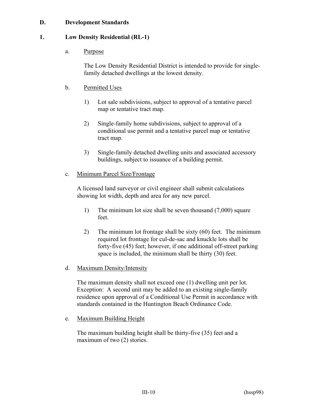# **D. Development Standards**

#### **1. Low Density Residential (RL-1)**

#### a. Purpose

The Low Density Residential District is intended to provide for singlefamily detached dwellings at the lowest density.

#### b. Permitted Uses

- 1) Lot sale subdivisions, subject to approval of a tentative parcel map or tentative tract map.
- 2) Single-family home subdivisions, subject to approval of a conditional use permit and a tentative parcel map or tentative tract map.
- 3) Single-family detached dwelling units and associated accessory buildings, subject to issuance of a building permit.

#### c. Minimum Parcel Size/Frontage

A licensed land surveyor or civil engineer shall submit calculations showing lot width, depth and area for any new parcel.

- 1) The minimum lot size shall be seven thousand (7,000) square feet.
- 2) The minimum lot frontage shall be sixty (60) feet. The minimum required lot frontage for cul-de-sac and knuckle lots shall be forty-five (45) feet; however, if one additional off-street parking space is included, the minimum shall be thirty (30) feet.
- d. Maximum Density/Intensity

The maximum density shall not exceed one (1) dwelling unit per lot. Exception: A second unit may be added to an existing single-family residence upon approval of a Conditional Use Permit in accordance with standards contained in the Huntington Beach Ordinance Code.

e. Maximum Building Height

The maximum building height shall be thirty-five (35) feet and a maximum of two (2) stories.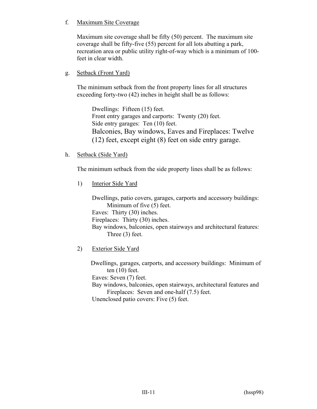# f. Maximum Site Coverage

Maximum site coverage shall be fifty (50) percent. The maximum site coverage shall be fifty-five (55) percent for all lots abutting a park, recreation area or public utility right-of-way which is a minimum of 100 feet in clear width.

# g. Setback (Front Yard)

The minimum setback from the front property lines for all structures exceeding forty-two (42) inches in height shall be as follows:

Dwellings: Fifteen (15) feet. Front entry garages and carports: Twenty (20) feet. Side entry garages: Ten (10) feet. Balconies, Bay windows, Eaves and Fireplaces: Twelve (12) feet, except eight (8) feet on side entry garage.

h. Setback (Side Yard)

The minimum setback from the side property lines shall be as follows:

1) Interior Side Yard

Dwellings, patio covers, garages, carports and accessory buildings: Minimum of five (5) feet. Eaves: Thirty (30) inches. Fireplaces: Thirty (30) inches. Bay windows, balconies, open stairways and architectural features: Three (3) feet.

2) Exterior Side Yard

Dwellings, garages, carports, and accessory buildings: Minimum of ten (10) feet. Eaves: Seven (7) feet. Bay windows, balconies, open stairways, architectural features and Fireplaces: Seven and one-half (7.5) feet. Unenclosed patio covers: Five (5) feet.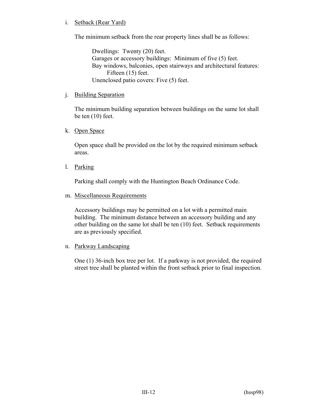# i. Setback (Rear Yard)

The minimum setback from the rear property lines shall be as follows:

Dwellings: Twenty (20) feet. Garages or accessory buildings: Minimum of five (5) feet. Bay windows, balconies, open stairways and architectural features: Fifteen (15) feet. Unenclosed patio covers: Five (5) feet.

#### j. Building Separation

The minimum building separation between buildings on the same lot shall be ten (10) feet.

#### k. Open Space

Open space shall be provided on the lot by the required minimum setback areas.

l. Parking

Parking shall comply with the Huntington Beach Ordinance Code.

m. Miscellaneous Requirements

Accessory buildings may be permitted on a lot with a permitted main building. The minimum distance between an accessory building and any other building on the same lot shall be ten (10) feet. Setback requirements are as previously specified.

n. Parkway Landscaping

One (1) 36-inch box tree per lot. If a parkway is not provided, the required street tree shall be planted within the front setback prior to final inspection.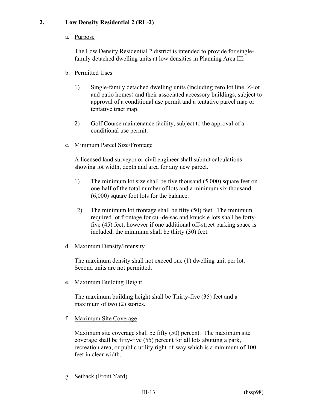# **2. Low Density Residential 2 (RL-2)**

# a. Purpose

The Low Density Residential 2 district is intended to provide for singlefamily detached dwelling units at low densities in Planning Area III.

- b. Permitted Uses
	- 1) Single-family detached dwelling units (including zero lot line, Z-lot and patio homes) and their associated accessory buildings, subject to approval of a conditional use permit and a tentative parcel map or tentative tract map.
	- 2) Golf Course maintenance facility, subject to the approval of a conditional use permit.
- c. Minimum Parcel Size/Frontage

A licensed land surveyor or civil engineer shall submit calculations showing lot width, depth and area for any new parcel.

- 1) The minimum lot size shall be five thousand (5,000) square feet on one-half of the total number of lots and a minimum six thousand (6,000) square foot lots for the balance.
- 2) The minimum lot frontage shall be fifty (50) feet. The minimum required lot frontage for cul-de-sac and knuckle lots shall be fortyfive (45) feet; however if one additional off-street parking space is included, the minimum shall be thirty (30) feet.
- d. Maximum Density/Intensity

The maximum density shall not exceed one (1) dwelling unit per lot. Second units are not permitted.

e. Maximum Building Height

The maximum building height shall be Thirty-five (35) feet and a maximum of two (2) stories.

f. Maximum Site Coverage

Maximum site coverage shall be fifty (50) percent. The maximum site coverage shall be fifty-five (55) percent for all lots abutting a park, recreation area, or public utility right-of-way which is a minimum of 100 feet in clear width.

g. Setback (Front Yard)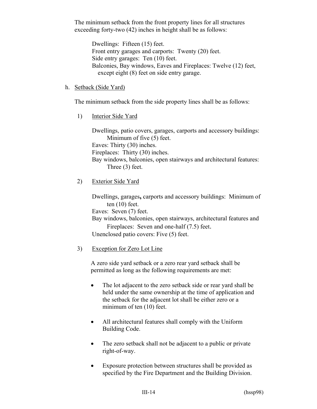The minimum setback from the front property lines for all structures exceeding forty-two (42) inches in height shall be as follows:

Dwellings: Fifteen (15) feet. Front entry garages and carports: Twenty (20) feet. Side entry garages: Ten (10) feet. Balconies, Bay windows, Eaves and Fireplaces: Twelve (12) feet, except eight (8) feet on side entry garage.

#### h. Setback (Side Yard)

The minimum setback from the side property lines shall be as follows:

1) Interior Side Yard

 Dwellings, patio covers, garages, carports and accessory buildings: Minimum of five (5) feet. Eaves: Thirty (30) inches. Fireplaces: Thirty (30) inches. Bay windows, balconies, open stairways and architectural features: Three (3) feet.

2) Exterior Side Yard

 Dwellings, garages**,** carports and accessory buildings: Minimum of ten (10) feet.

Eaves: Seven (7) feet.

Bay windows, balconies, open stairways, architectural features and Fireplaces: Seven and one-half (7.5) feet.

Unenclosed patio covers: Five (5) feet.

# 3) Exception for Zero Lot Line

A zero side yard setback or a zero rear yard setback shall be permitted as long as the following requirements are met:

- The lot adjacent to the zero setback side or rear yard shall be held under the same ownership at the time of application and the setback for the adjacent lot shall be either zero or a minimum of ten (10) feet.
- All architectural features shall comply with the Uniform Building Code.
- The zero setback shall not be adjacent to a public or private right-of-way.
- Exposure protection between structures shall be provided as specified by the Fire Department and the Building Division.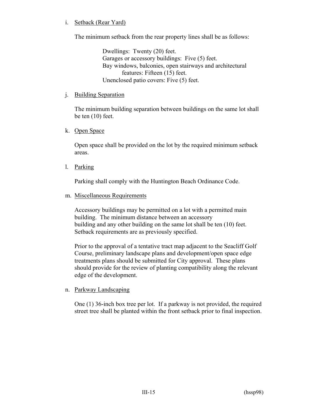## i. Setback (Rear Yard)

The minimum setback from the rear property lines shall be as follows:

Dwellings: Twenty (20) feet. Garages or accessory buildings: Five (5) feet. Bay windows, balconies, open stairways and architectural features: Fifteen (15) feet. Unenclosed patio covers: Five (5) feet.

#### j. Building Separation

The minimum building separation between buildings on the same lot shall be ten (10) feet.

#### k. Open Space

Open space shall be provided on the lot by the required minimum setback areas.

l. Parking

Parking shall comply with the Huntington Beach Ordinance Code.

#### m. Miscellaneous Requirements

Accessory buildings may be permitted on a lot with a permitted main building. The minimum distance between an accessory building and any other building on the same lot shall be ten (10) feet. Setback requirements are as previously specified.

Prior to the approval of a tentative tract map adjacent to the Seacliff Golf Course, preliminary landscape plans and development/open space edge treatments plans should be submitted for City approval. These plans should provide for the review of planting compatibility along the relevant edge of the development.

# n. Parkway Landscaping

One (1) 36-inch box tree per lot. If a parkway is not provided, the required street tree shall be planted within the front setback prior to final inspection.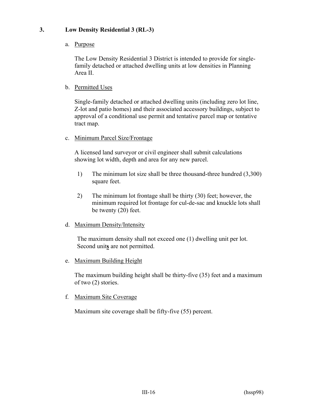# **3. Low Density Residential 3 (RL-3)**

# a. Purpose

The Low Density Residential 3 District is intended to provide for singlefamily detached or attached dwelling units at low densities in Planning Area II.

# b. Permitted Uses

Single-family detached or attached dwelling units (including zero lot line, Z-lot and patio homes) and their associated accessory buildings, subject to approval of a conditional use permit and tentative parcel map or tentative tract map.

#### c. Minimum Parcel Size/Frontage

A licensed land surveyor or civil engineer shall submit calculations showing lot width, depth and area for any new parcel.

- 1) The minimum lot size shall be three thousand-three hundred (3,300) square feet.
- 2) The minimum lot frontage shall be thirty (30) feet; however, the minimum required lot frontage for cul-de-sac and knuckle lots shall be twenty (20) feet.

# d. Maximum Density/Intensity

The maximum density shall not exceed one (1) dwelling unit per lot. Second unit**s** are not permitted.

# e. Maximum Building Height

The maximum building height shall be thirty-five (35) feet and a maximum of two (2) stories.

# f. Maximum Site Coverage

Maximum site coverage shall be fifty-five (55) percent.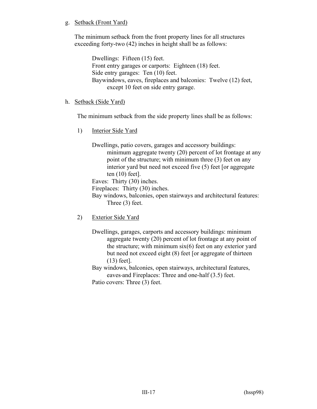# g. Setback (Front Yard)

The minimum setback from the front property lines for all structures exceeding forty-two (42) inches in height shall be as follows:

> Dwellings: Fifteen (15) feet. Front entry garages or carports: Eighteen (18) feet. Side entry garages: Ten (10) feet. Baywindows, eaves, fireplaces and balconies: Twelve (12) feet, except 10 feet on side entry garage.

#### h. Setback (Side Yard)

The minimum setback from the side property lines shall be as follows:

1) Interior Side Yard

Dwellings, patio covers, garages and accessory buildings: minimum aggregate twenty (20) percent of lot frontage at any point of the structure; with minimum three (3) feet on any interior yard but need not exceed five (5) feet [or aggregate ten (10) feet].

Eaves: Thirty (30) inches.

Fireplaces: Thirty (30) inches.

Bay windows, balconies, open stairways and architectural features: Three (3) feet.

2) Exterior Side Yard

Dwellings, garages, carports and accessory buildings: minimumaggregate twenty (20) percent of lot frontage at any point of the structure; with minimum six(6) feet on any exterior yard but need not exceed eight (8) feet [or aggregate of thirteen (13) feet].

Bay windows, balconies, open stairways, architectural features, eaves and Fireplaces: Three and one-half (3.5) feet. Patio covers: Three (3) feet.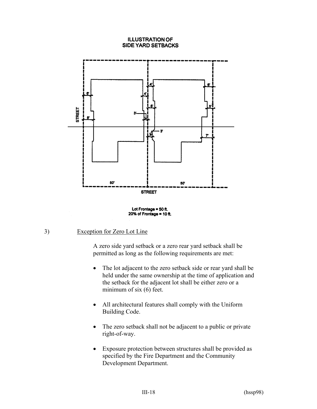#### **ILLUSTRATION OF SIDE YARD SETBACKS**



Lot Frontage  $=$  50 ft. 20% of Frontage = 10 ft.

# 3) Exception for Zero Lot Line

A zero side yard setback or a zero rear yard setback shall be permitted as long as the following requirements are met:

- The lot adjacent to the zero setback side or rear yard shall be held under the same ownership at the time of application and the setback for the adjacent lot shall be either zero or a minimum of six (6) feet.
- All architectural features shall comply with the Uniform Building Code.
- The zero setback shall not be adjacent to a public or private right-of-way.
- Exposure protection between structures shall be provided as specified by the Fire Department and the Community Development Department.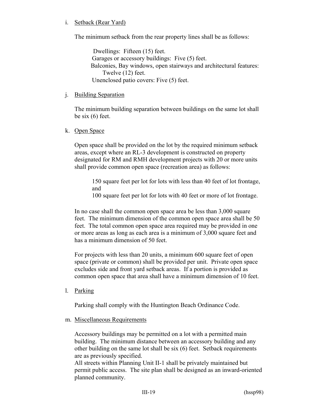## i. Setback (Rear Yard)

The minimum setback from the rear property lines shall be as follows:

Dwellings: Fifteen (15) feet. Garages or accessory buildings: Five (5) feet. Balconies, Bay windows, open stairways and architectural features: Twelve (12) feet. Unenclosed patio covers: Five (5) feet.

#### j. Building Separation

The minimum building separation between buildings on the same lot shall be six (6) feet.

#### k. Open Space

Open space shall be provided on the lot by the required minimum setback areas, except where an RL-3 development is constructed on property designated for RM and RMH development projects with 20 or more units shall provide common open space (recreation area) as follows:

150 square feet per lot for lots with less than 40 feet of lot frontage, and

100 square feet per lot for lots with 40 feet or more of lot frontage.

In no case shall the common open space area be less than 3,000 square feet. The minimum dimension of the common open space area shall be 50 feet. The total common open space area required may be provided in one or more areas as long as each area is a minimum of 3,000 square feet and has a minimum dimension of 50 feet.

For projects with less than 20 units, a minimum 600 square feet of open space (private or common) shall be provided per unit. Private open space excludes side and front yard setback areas. If a portion is provided as common open space that area shall have a minimum dimension of 10 feet.

l. Parking

Parking shall comply with the Huntington Beach Ordinance Code.

m. Miscellaneous Requirements

Accessory buildings may be permitted on a lot with a permitted main building. The minimum distance between an accessory building and any other building on the same lot shall be six (6) feet. Setback requirements are as previously specified.

All streets within Planning Unit II-1 shall be privately maintained but permit public access. The site plan shall be designed as an inward-oriented planned community.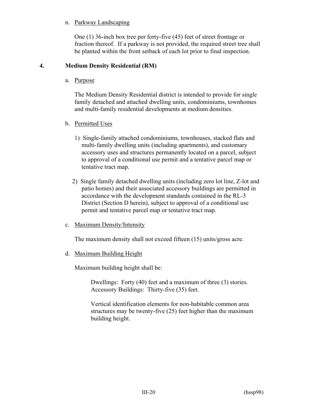## n. Parkway Landscaping

One (1) 36-inch box tree per forty-five (45) feet of street frontage or fraction thereof. If a parkway is not provided, the required street tree shall be planted within the front setback of each lot prior to final inspection.

# **4. Medium Density Residential (RM)**

a. Purpose

The Medium Density Residential district is intended to provide for single family detached and attached dwelling units, condominiums, townhomes and multi-family residential developments at medium densities.

- b. Permitted Uses
	- 1) Single-family attached condominiums, townhouses, stacked flats and multi-family dwelling units (including apartments), and customary accessory uses and structures permanently located on a parcel, subject to approval of a conditional use permit and a tentative parcel map or tentative tract map.
	- 2) Single family detached dwelling units (including zero lot line, Z-lot and patio homes) and their associated accessory buildings are permitted in accordance with the development standards contained in the RL-3 District (Section D herein), subject to approval of a conditional use permit and tentative parcel map or tentative tract map.
- c. Maximum Density/Intensity

The maximum density shall not exceed fifteen (15) units/gross acre.

d. Maximum Building Height

Maximum building height shall be:

Dwellings: Forty (40) feet and a maximum of three (3) stories. Accessory Buildings: Thirty-five (35) feet.

Vertical identification elements for non-habitable common area structures may be twenty-five (25) feet higher than the maximum building height.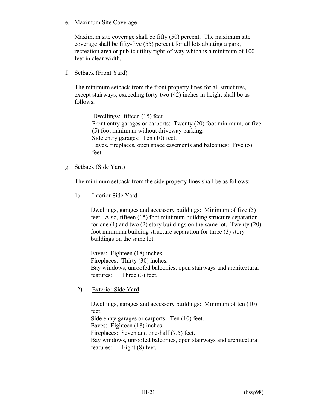e. Maximum Site Coverage

Maximum site coverage shall be fifty (50) percent. The maximum site coverage shall be fifty-five (55) percent for all lots abutting a park, recreation area or public utility right-of-way which is a minimum of 100 feet in clear width.

# f. Setback (Front Yard)

The minimum setback from the front property lines for all structures, except stairways, exceeding forty-two (42) inches in height shall be as follows:

Dwellings: fifteen (15) feet. Front entry garages or carports: Twenty (20) foot minimum, or five (5) foot minimum without driveway parking. Side entry garages: Ten (10) feet. Eaves, fireplaces, open space easements and balconies: Five (5) feet.

g. Setback (Side Yard)

The minimum setback from the side property lines shall be as follows:

1) Interior Side Yard

Dwellings, garages and accessory buildings: Minimum of five (5) feet. Also, fifteen (15) foot minimum building structure separation for one (1) and two (2) story buildings on the same lot. Twenty (20) foot minimum building structure separation for three (3) story buildings on the same lot.

Eaves: Eighteen (18) inches. Fireplaces: Thirty (30) inches. Bay windows, unroofed balconies, open stairways and architectural features: Three (3) feet.

2) Exterior Side Yard

Dwellings, garages and accessory buildings: Minimum of ten (10) feet. Side entry garages or carports: Ten (10) feet. Eaves: Eighteen (18) inches. Fireplaces: Seven and one-half (7.5) feet. Bay windows, unroofed balconies, open stairways and architectural features: Eight (8) feet.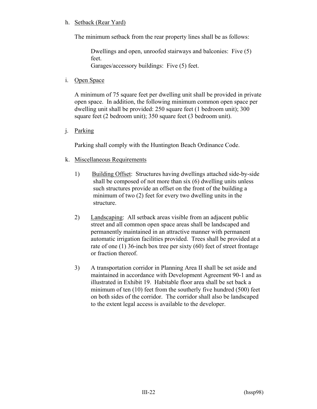# h. Setback (Rear Yard)

The minimum setback from the rear property lines shall be as follows:

Dwellings and open, unroofed stairways and balconies: Five (5) feet. Garages/accessory buildings: Five (5) feet.

i. Open Space

A minimum of 75 square feet per dwelling unit shall be provided in private open space. In addition, the following minimum common open space per dwelling unit shall be provided: 250 square feet (1 bedroom unit); 300 square feet (2 bedroom unit); 350 square feet (3 bedroom unit).

j. Parking

Parking shall comply with the Huntington Beach Ordinance Code.

- k. Miscellaneous Requirements
	- 1) Building Offset: Structures having dwellings attached side-by-side shall be composed of not more than six (6) dwelling units unless such structures provide an offset on the front of the building a minimum of two (2) feet for every two dwelling units in the structure.
	- 2) Landscaping: All setback areas visible from an adjacent public street and all common open space areas shall be landscaped and permanently maintained in an attractive manner with permanent automatic irrigation facilities provided. Trees shall be provided at a rate of one (1) 36-inch box tree per sixty (60) feet of street frontage or fraction thereof.
	- 3) A transportation corridor in Planning Area II shall be set aside and maintained in accordance with Development Agreement 90-1 and as illustrated in Exhibit 19. Habitable floor area shall be set back a minimum of ten (10) feet from the southerly five hundred (500) feet on both sides of the corridor. The corridor shall also be landscaped to the extent legal access is available to the developer.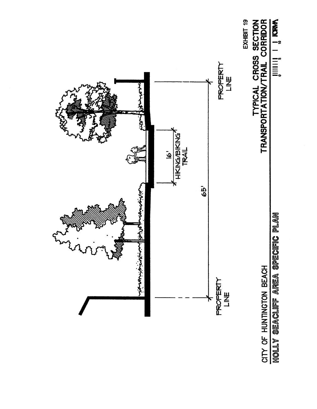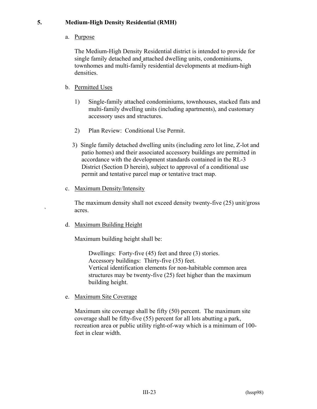# **5. Medium-High Density Residential (RMH)**

a. Purpose

The Medium-High Density Residential district is intended to provide for single family detached and attached dwelling units, condominiums, townhomes and multi-family residential developments at medium-high densities.

# b. Permitted Uses

- 1) Single-family attached condominiums, townhouses, stacked flats and multi-family dwelling units (including apartments), and customary accessory uses and structures.
- 2) Plan Review: Conditional Use Permit.
- 3) Single family detached dwelling units (including zero lot line, Z-lot and patio homes) and their associated accessory buildings are permitted in accordance with the development standards contained in the RL-3 District (Section D herein), subject to approval of a conditional use permit and tentative parcel map or tentative tract map.
- c. Maximum Density/Intensity

The maximum density shall not exceed density twenty-five (25) unit/gross ` acres.

d. Maximum Building Height

Maximum building height shall be:

Dwellings: Forty-five (45) feet and three (3) stories. Accessory buildings: Thirty-five (35) feet. Vertical identification elements for non-habitable common area structures may be twenty-five (25) feet higher than the maximum building height.

e. Maximum Site Coverage

Maximum site coverage shall be fifty (50) percent. The maximum site coverage shall be fifty-five (55) percent for all lots abutting a park, recreation area or public utility right-of-way which is a minimum of 100 feet in clear width.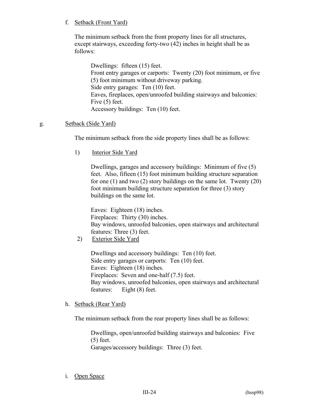# f. Setback (Front Yard)

The minimum setback from the front property lines for all structures, except stairways, exceeding forty-two (42) inches in height shall be as follows:

Dwellings: fifteen (15) feet. Front entry garages or carports: Twenty (20) foot minimum, or five (5) foot minimum without driveway parking. Side entry garages: Ten (10) feet. Eaves, fireplaces, open/unroofed building stairways and balconies: Five (5) feet. Accessory buildings: Ten (10) feet.

# g. Setback (Side Yard)

The minimum setback from the side property lines shall be as follows:

1) Interior Side Yard

Dwellings, garages and accessory buildings: Minimum of five (5) feet. Also, fifteen (15) foot minimum building structure separation for one (1) and two (2) story buildings on the same lot. Twenty (20) foot minimum building structure separation for three (3) story buildings on the same lot.

Eaves: Eighteen (18) inches. Fireplaces: Thirty (30) inches. Bay windows, unroofed balconies, open stairways and architectural features: Three (3) feet.

2) Exterior Side Yard

Dwellings and accessory buildings: Ten (10) feet. Side entry garages or carports: Ten (10) feet. Eaves: Eighteen (18) inches. Fireplaces: Seven and one-half (7.5) feet. Bay windows, unroofed balconies, open stairways and architectural features: Eight (8) feet.

# h. Setback (Rear Yard)

The minimum setback from the rear property lines shall be as follows:

Dwellings, open/unroofed building stairways and balconies: Five (5) feet.

Garages/accessory buildings: Three (3) feet.

i. Open Space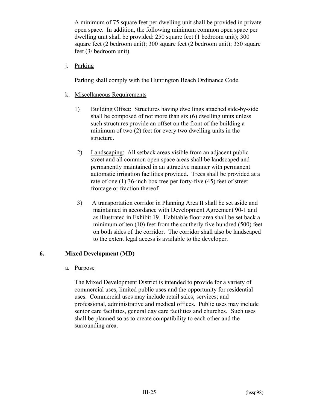A minimum of 75 square feet per dwelling unit shall be provided in private open space. In addition, the following minimum common open space per dwelling unit shall be provided: 250 square feet (1 bedroom unit); 300 square feet (2 bedroom unit); 300 square feet (2 bedroom unit); 350 square feet (3/ bedroom unit).

j. Parking

Parking shall comply with the Huntington Beach Ordinance Code.

- k. Miscellaneous Requirements
	- 1) Building Offset: Structures having dwellings attached side-by-side shall be composed of not more than six (6) dwelling units unless such structures provide an offset on the front of the building a minimum of two (2) feet for every two dwelling units in the structure.
	- 2) Landscaping: All setback areas visible from an adjacent public street and all common open space areas shall be landscaped and permanently maintained in an attractive manner with permanent automatic irrigation facilities provided. Trees shall be provided at a rate of one (1) 36-inch box tree per forty-five (45) feet of street frontage or fraction thereof.
	- 3) A transportation corridor in Planning Area II shall be set aside and maintained in accordance with Development Agreement 90-1 and as illustrated in Exhibit 19. Habitable floor area shall be set back a minimum of ten (10) feet from the southerly five hundred (500) feet on both sides of the corridor. The corridor shall also be landscaped to the extent legal access is available to the developer.

# **6. Mixed Development (MD)**

#### a. Purpose

The Mixed Development District is intended to provide for a variety of commercial uses, limited public uses and the opportunity for residential uses. Commercial uses may include retail sales; services; and professional, administrative and medical offices. Public uses may include senior care facilities, general day care facilities and churches.Such uses shall be planned so as to create compatibility to each other and the surrounding area.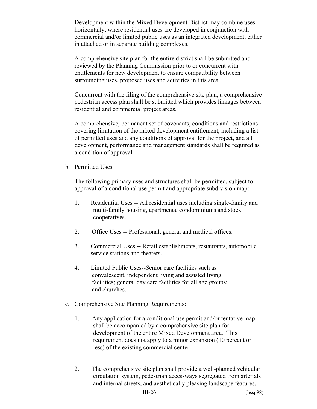Development within the Mixed Development District may combine uses horizontally, where residential uses are developed in conjunction with commercial and/or limited public uses as an integrated development, either in attached or in separate building complexes.

A comprehensive site plan for the entire district shall be submitted and reviewed by the Planning Commission prior to or concurrent with entitlements for new development to ensure compatibility between surrounding uses, proposed uses and activities in this area.

Concurrent with the filing of the comprehensive site plan, a comprehensive pedestrian access plan shall be submitted which provides linkages between residential and commercial project areas.

A comprehensive, permanent set of covenants, conditions and restrictions covering limitation of the mixed development entitlement, including a list of permitted uses and any conditions of approval for the project, and all development, performance and management standards shall be required as a condition of approval.

#### b. Permitted Uses

The following primary uses and structures shall be permitted, subject to approval of a conditional use permit and appropriate subdivision map:

- 1. Residential Uses -- All residential uses including single-family and multi-family housing, apartments, condominiums and stock cooperatives.
- 2. Office Uses -- Professional, general and medical offices.
- 3. Commercial Uses -- Retail establishments, restaurants, automobile service stations and theaters.
- 4. Limited Public Uses--Senior care facilities such as convalescent, independent living and assisted living facilities; general day care facilities for all age groups; and churches.

# c. Comprehensive Site Planning Requirements:

- 1. Any application for a conditional use permit and/or tentative map shall be accompanied by a comprehensive site plan for development of the entire Mixed Development area. This requirement does not apply to a minor expansion (10 percent or less) of the existing commercial center.
- 2. The comprehensive site plan shall provide a well-planned vehicular circulation system, pedestrian accessways segregated from arterials and internal streets, and aesthetically pleasing landscape features.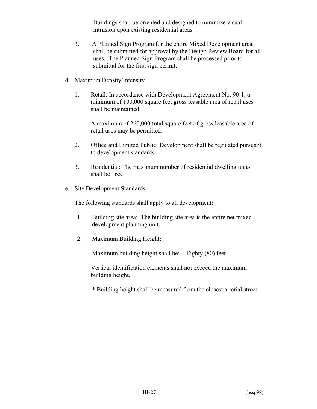Buildings shall be oriented and designed to minimize visual intrusion upon existing residential areas.

- 3. A Planned Sign Program for the entire Mixed Development area shall be submitted for approval by the Design Review Board for all uses. The Planned Sign Program shall be processed prior to submittal for the first sign permit.
- d. Maximum Density/Intensity
	- 1. Retail: In accordance with Development Agreement No. 90-1, a minimum of 100,000 square feet gross leasable area of retail uses shall be maintained.

A maximum of 260,000 total square feet of gross leasable area of retail uses may be permitted.

- 2. Office and Limited Public: Development shall be regulated pursuant to development standards.
- 3. Residential: The maximum number of residential dwelling units shall be 165.

#### e. Site Development Standards

The following standards shall apply to all development:

- 1. Building site area: The building site area is the entire net mixed development planning unit.
- 2. Maximum Building Height:

Maximum building height shall be: Eighty (80) feet

Vertical identification elements shall not exceed the maximum building height.

\* Building height shall be measured from the closest arterial street.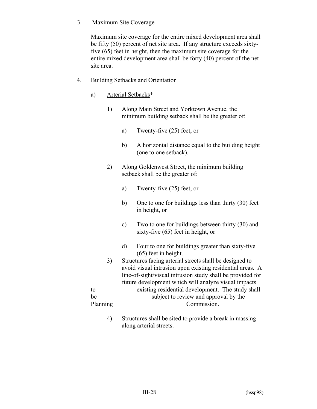# 3. Maximum Site Coverage

Maximum site coverage for the entire mixed development area shall be fifty (50) percent of net site area. If any structure exceeds sixtyfive (65) feet in height, then the maximum site coverage for the entire mixed development area shall be forty (40) percent of the net site area.

- 4. Building Setbacks and Orientation
	- a) Arterial Setbacks\*
		- 1) Along Main Street and Yorktown Avenue, the minimum building setback shall be the greater of:
			- a) Twenty-five (25) feet, or
			- b) A horizontal distance equal to the building height (one to one setback).
		- 2) Along Goldenwest Street, the minimum building setback shall be the greater of:
			- a) Twenty-five (25) feet, or
			- b) One to one for buildings less than thirty (30) feet in height, or
			- c) Two to one for buildings between thirty (30) and sixty-five (65) feet in height, or
			- d) Four to one for buildings greater than sixty-five (65) feet in height.
	- 3) Structures facing arterial streets shall be designed to avoid visual intrusion upon existing residential areas. A line-of-sight/visual intrusion study shall be provided for future development which will analyze visual impacts to existing residential development. The study shall be subject to review and approval by the Planning Commission.
		- 4) Structures shall be sited to provide a break in massing along arterial streets.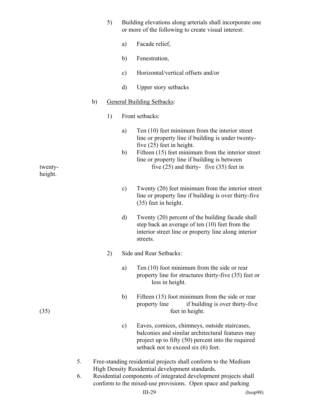|         | 5) | Building elevations along arterials shall incorporate one<br>or more of the following to create visual interest:                                                                                      |
|---------|----|-------------------------------------------------------------------------------------------------------------------------------------------------------------------------------------------------------|
|         |    | Facade relief,<br>a)                                                                                                                                                                                  |
|         |    | Fenestration,<br>b)                                                                                                                                                                                   |
|         |    | Horizontal/vertical offsets and/or<br>$\mathbf{c})$                                                                                                                                                   |
|         |    | d)<br><b>Upper story setbacks</b>                                                                                                                                                                     |
|         | b) | <b>General Building Setbacks:</b>                                                                                                                                                                     |
|         | 1) | Front setbacks:                                                                                                                                                                                       |
|         |    | Ten (10) feet minimum from the interior street<br>a)<br>line or property line if building is under twenty-                                                                                            |
| twenty- |    | five $(25)$ feet in height.<br>Fifteen (15) feet minimum from the interior street<br>b)<br>line or property line if building is between<br>five $(25)$ and thirty-five $(35)$ feet in                 |
| height. |    |                                                                                                                                                                                                       |
|         |    | Twenty (20) feet minimum from the interior street<br>$\mathbf{c})$<br>line or property line if building is over thirty-five<br>(35) feet in height.                                                   |
|         |    | Twenty (20) percent of the building facade shall<br>d)<br>step back an average of ten (10) feet from the<br>interior street line or property line along interior<br>streets.                          |
|         | 2) | Side and Rear Setbacks:                                                                                                                                                                               |
|         |    | Ten $(10)$ foot minimum from the side or rear<br>a)<br>property line for structures thirty-five (35) feet or<br>less in height.                                                                       |
| (35)    |    | Fifteen (15) foot minimum from the side or rear<br>b)<br>if building is over thirty-five<br>property line<br>feet in height.                                                                          |
|         |    | Eaves, cornices, chimneys, outside staircases,<br>c)<br>balconies and similar architectural features may<br>project up to fifty (50) percent into the required<br>setback not to exceed six (6) feet. |
|         | 5. | Free-standing residential projects shall conform to the Medium                                                                                                                                        |
|         | 6. | High Density Residential development standards.<br>Residential components of integrated development projects shall<br>conform to the mixed-use provisions. Open space and parking                     |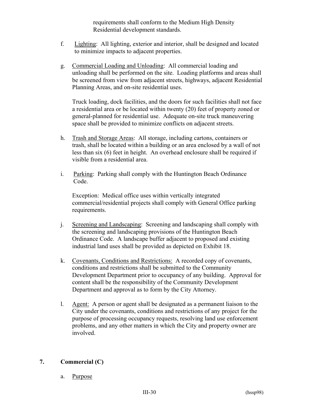requirements shall conform to the Medium High Density Residential development standards.

- f. Lighting: All lighting, exterior and interior, shall be designed and located to minimize impacts to adjacent properties.
- g. Commercial Loading and Unloading: All commercial loading and unloading shall be performed on the site. Loading platforms and areas shall be screened from view from adjacent streets, highways, adjacent Residential Planning Areas, and on-site residential uses.

Truck loading, dock facilities, and the doors for such facilities shall not face a residential area or be located within twenty (20) feet of property zoned or general-planned for residential use. Adequate on-site truck maneuvering space shall be provided to minimize conflicts on adjacent streets.

- h. Trash and Storage Areas: All storage, including cartons, containers or trash, shall be located within a building or an area enclosed by a wall of not less than six (6) feet in height. An overhead enclosure shall be required if visible from a residential area.
- i. Parking: Parking shall comply with the Huntington Beach Ordinance Code.

Exception: Medical office uses within vertically integrated commercial/residential projects shall comply with General Office parking requirements.

- j. Screening and Landscaping: Screening and landscaping shall comply with the screening and landscaping provisions of the Huntington Beach Ordinance Code. A landscape buffer adjacent to proposed and existing industrial land uses shall be provided as depicted on Exhibit 18.
- k. Covenants, Conditions and Restrictions: A recorded copy of covenants, conditions and restrictions shall be submitted to the Community Development Department prior to occupancy of any building. Approval for content shall be the responsibility of the Community Development Department and approval as to form by the City Attorney.
- l. Agent: A person or agent shall be designated as a permanent liaison to the City under the covenants, conditions and restrictions of any project for the purpose of processing occupancy requests, resolving land use enforcement problems, and any other matters in which the City and property owner are involved.

# **7. Commercial (C)**

a. Purpose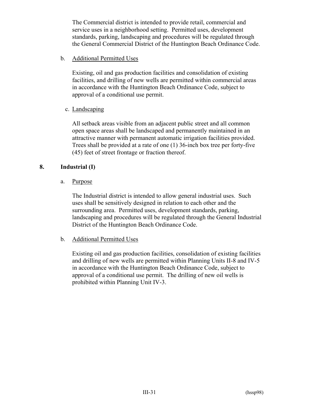The Commercial district is intended to provide retail, commercial and service uses in a neighborhood setting. Permitted uses, development standards, parking, landscaping and procedures will be regulated through the General Commercial District of the Huntington Beach Ordinance Code.

b. Additional Permitted Uses

Existing, oil and gas production facilities and consolidation of existing facilities, and drilling of new wells are permitted within commercial areas in accordance with the Huntington Beach Ordinance Code, subject to approval of a conditional use permit.

c. Landscaping

All setback areas visible from an adjacent public street and all common open space areas shall be landscaped and permanently maintained in an attractive manner with permanent automatic irrigation facilities provided. Trees shall be provided at a rate of one (1) 36-inch box tree per forty-five (45) feet of street frontage or fraction thereof.

# **8. Industrial (I)**

a. Purpose

The Industrial district is intended to allow general industrial uses. Such uses shall be sensitively designed in relation to each other and the surrounding area. Permitted uses, development standards, parking, landscaping and procedures will be regulated through the General Industrial District of the Huntington Beach Ordinance Code.

# b. Additional Permitted Uses

Existing oil and gas production facilities, consolidation of existing facilities and drilling of new wells are permitted within Planning Units II-8 and IV-5 in accordance with the Huntington Beach Ordinance Code, subject to approval of a conditional use permit. The drilling of new oil wells is prohibited within Planning Unit IV-3.